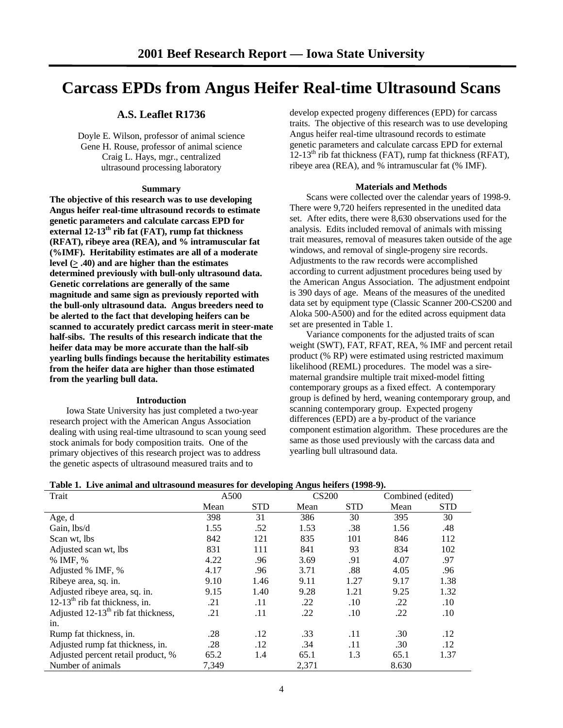# **Carcass EPDs from Angus Heifer Real-time Ultrasound Scans**

# **A.S. Leaflet R1736**

Doyle E. Wilson, professor of animal science Gene H. Rouse, professor of animal science Craig L. Hays, mgr., centralized ultrasound processing laboratory

## **Summary**

**The objective of this research was to use developing Angus heifer real-time ultrasound records to estimate genetic parameters and calculate carcass EPD for external 12-13th rib fat (FAT), rump fat thickness (RFAT), ribeye area (REA), and % intramuscular fat (%IMF). Heritability estimates are all of a moderate** level  $(> .40)$  and are higher than the estimates **determined previously with bull-only ultrasound data. Genetic correlations are generally of the same magnitude and same sign as previously reported with the bull-only ultrasound data. Angus breeders need to be alerted to the fact that developing heifers can be scanned to accurately predict carcass merit in steer-mate half-sibs. The results of this research indicate that the heifer data may be more accurate than the half-sib yearling bulls findings because the heritability estimates from the heifer data are higher than those estimated from the yearling bull data.**

## **Introduction**

 Iowa State University has just completed a two-year research project with the American Angus Association dealing with using real-time ultrasound to scan young seed stock animals for body composition traits. One of the primary objectives of this research project was to address the genetic aspects of ultrasound measured traits and to

develop expected progeny differences (EPD) for carcass traits. The objective of this research was to use developing Angus heifer real-time ultrasound records to estimate genetic parameters and calculate carcass EPD for external  $12-13<sup>th</sup>$  rib fat thickness (FAT), rump fat thickness (RFAT), ribeye area (REA), and % intramuscular fat (% IMF).

## **Materials and Methods**

 Scans were collected over the calendar years of 1998-9. There were 9,720 heifers represented in the unedited data set. After edits, there were 8,630 observations used for the analysis. Edits included removal of animals with missing trait measures, removal of measures taken outside of the age windows, and removal of single-progeny sire records. Adjustments to the raw records were accomplished according to current adjustment procedures being used by the American Angus Association. The adjustment endpoint is 390 days of age. Means of the measures of the unedited data set by equipment type (Classic Scanner 200-CS200 and Aloka 500-A500) and for the edited across equipment data set are presented in Table 1.

 Variance components for the adjusted traits of scan weight (SWT), FAT, RFAT, REA, % IMF and percent retail product (% RP) were estimated using restricted maximum likelihood (REML) procedures. The model was a sirematernal grandsire multiple trait mixed-model fitting contemporary groups as a fixed effect. A contemporary group is defined by herd, weaning contemporary group, and scanning contemporary group. Expected progeny differences (EPD) are a by-product of the variance component estimation algorithm. These procedures are the same as those used previously with the carcass data and yearling bull ultrasound data.

| Trait                                    |       | <b>CS200</b><br>A500 |       | Combined (edited) |       |            |
|------------------------------------------|-------|----------------------|-------|-------------------|-------|------------|
|                                          | Mean  | <b>STD</b>           | Mean  | <b>STD</b>        | Mean  | <b>STD</b> |
| Age, d                                   | 398   | 31                   | 386   | 30                | 395   | 30         |
| Gain, lbs/d                              | 1.55  | .52                  | 1.53  | .38               | 1.56  | .48        |
| Scan wt, lbs                             | 842   | 121                  | 835   | 101               | 846   | 112        |
| Adjusted scan wt, lbs                    | 831   | 111                  | 841   | 93                | 834   | 102        |
| % IMF, %                                 | 4.22  | .96                  | 3.69  | .91               | 4.07  | .97        |
| Adjusted % IMF, %                        | 4.17  | .96                  | 3.71  | .88               | 4.05  | .96        |
| Ribeye area, sq. in.                     | 9.10  | 1.46                 | 9.11  | 1.27              | 9.17  | 1.38       |
| Adjusted ribeye area, sq. in.            | 9.15  | 1.40                 | 9.28  | 1.21              | 9.25  | 1.32       |
| $12-13th$ rib fat thickness, in.         | .21   | .11                  | .22   | .10               | .22   | .10        |
| Adjusted $12-13^{th}$ rib fat thickness, | .21   | .11                  | .22   | .10               | .22   | .10        |
| in.                                      |       |                      |       |                   |       |            |
| Rump fat thickness, in.                  | .28   | .12                  | .33   | .11               | .30   | .12        |
| Adjusted rump fat thickness, in.         | .28   | .12                  | .34   | .11               | .30   | .12        |
| Adjusted percent retail product, %       | 65.2  | 1.4                  | 65.1  | 1.3               | 65.1  | 1.37       |
| Number of animals                        | 7,349 |                      | 2,371 |                   | 8.630 |            |

## **Table 1. Live animal and ultrasound measures for developing Angus heifers (1998-9).**